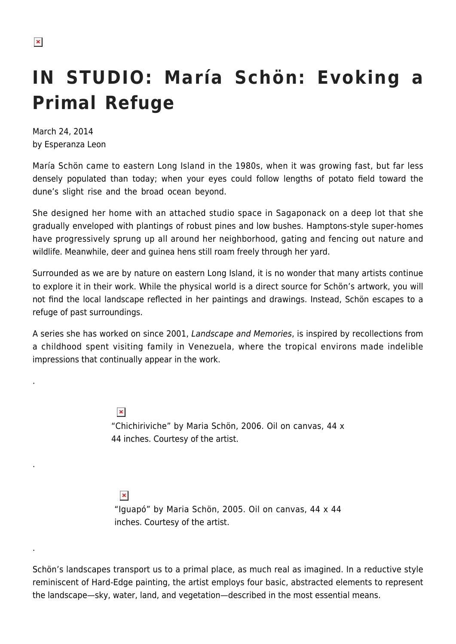.

.

.

## **IN STUDIO: María Schön: Evoking a Primal Refuge**

March 24, 2014 by Esperanza Leon

María Schön came to eastern Long Island in the 1980s, when it was growing fast, but far less densely populated than today; when your eyes could follow lengths of potato field toward the dune's slight rise and the broad ocean beyond.

She designed her home with an attached studio space in Sagaponack on a deep lot that she gradually enveloped with plantings of robust pines and low bushes. Hamptons-style super-homes have progressively sprung up all around her neighborhood, gating and fencing out nature and wildlife. Meanwhile, deer and guinea hens still roam freely through her yard.

Surrounded as we are by nature on eastern Long Island, it is no wonder that many artists continue to explore it in their work. While the physical world is a direct source for Schön's artwork, you will not find the local landscape reflected in her paintings and drawings. Instead, Schön escapes to a refuge of past surroundings.

A series she has worked on since 2001, Landscape and Memories, is inspired by recollections from a childhood spent visiting family in Venezuela, where the tropical environs made indelible impressions that continually appear in the work.

> $\pmb{\times}$ "Chichiriviche" by Maria Schön, 2006. Oil on canvas, 44 x 44 inches. Courtesy of the artist.

 $\pmb{\times}$ "Iguapó" by Maria Schön, 2005. Oil on canvas, 44 x 44 inches. Courtesy of the artist.

Schön's landscapes transport us to a primal place, as much real as imagined. In a reductive style reminiscent of Hard-Edge painting, the artist employs four basic, abstracted elements to represent the landscape—sky, water, land, and vegetation—described in the most essential means.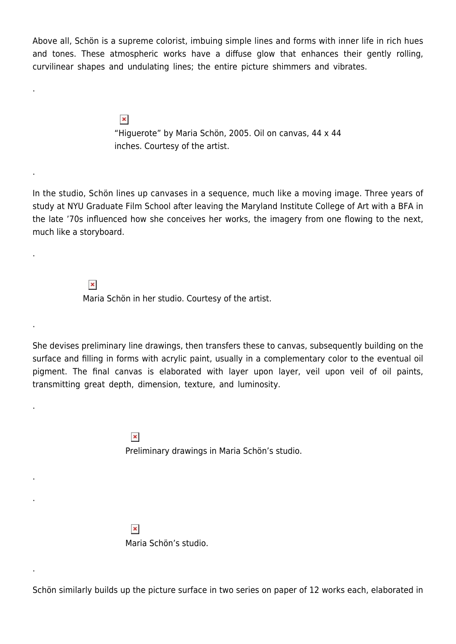Above all, Schön is a supreme colorist, imbuing simple lines and forms with inner life in rich hues and tones. These atmospheric works have a diffuse glow that enhances their gently rolling, curvilinear shapes and undulating lines; the entire picture shimmers and vibrates.

> $\pmb{\times}$ "Higuerote" by Maria Schön, 2005. Oil on canvas, 44 x 44 inches. Courtesy of the artist.

In the studio, Schön lines up canvases in a sequence, much like a moving image. Three years of study at NYU Graduate Film School after leaving the Maryland Institute College of Art with a BFA in the late '70s influenced how she conceives her works, the imagery from one flowing to the next, much like a storyboard.

> $\pmb{\times}$ Maria Schön in her studio. Courtesy of the artist.

.

.

.

.

.

.

.

.

She devises preliminary line drawings, then transfers these to canvas, subsequently building on the surface and filling in forms with acrylic paint, usually in a complementary color to the eventual oil pigment. The final canvas is elaborated with layer upon layer, veil upon veil of oil paints, transmitting great depth, dimension, texture, and luminosity.

> $\pmb{\times}$ Preliminary drawings in Maria Schön's studio.

 $\pmb{\times}$ Maria Schön's studio.

Schön similarly builds up the picture surface in two series on paper of 12 works each, elaborated in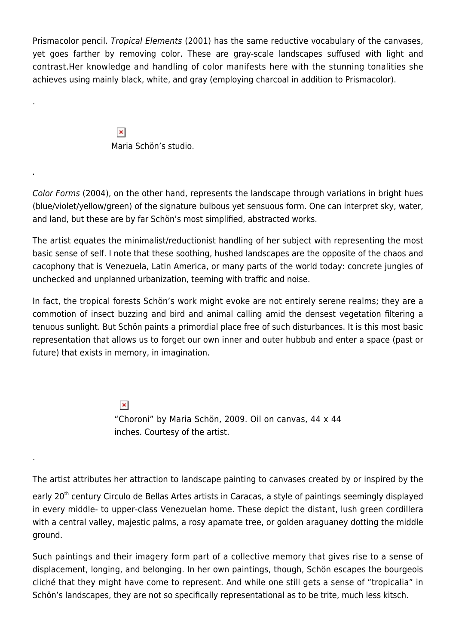Prismacolor pencil. Tropical Elements (2001) has the same reductive vocabulary of the canvases, yet goes farther by removing color. These are gray-scale landscapes suffused with light and contrast.Her knowledge and handling of color manifests here with the stunning tonalities she achieves using mainly black, white, and gray (employing charcoal in addition to Prismacolor).

> $\pmb{\times}$ Maria Schön's studio.

.

.

.

Color Forms (2004), on the other hand, represents the landscape through variations in bright hues (blue/violet/yellow/green) of the signature bulbous yet sensuous form. One can interpret sky, water, and land, but these are by far Schön's most simplified, abstracted works.

The artist equates the minimalist/reductionist handling of her subject with representing the most basic sense of self. I note that these soothing, hushed landscapes are the opposite of the chaos and cacophony that is Venezuela, Latin America, or many parts of the world today: concrete jungles of unchecked and unplanned urbanization, teeming with traffic and noise.

In fact, the tropical forests Schön's work might evoke are not entirely serene realms; they are a commotion of insect buzzing and bird and animal calling amid the densest vegetation filtering a tenuous sunlight. But Schön paints a primordial place free of such disturbances. It is this most basic representation that allows us to forget our own inner and outer hubbub and enter a space (past or future) that exists in memory, in imagination.

> $\pmb{\times}$ "Choroni" by Maria Schön, 2009. Oil on canvas, 44 x 44 inches. Courtesy of the artist.

The artist attributes her attraction to landscape painting to canvases created by or inspired by the

early 20<sup>th</sup> century Circulo de Bellas Artes artists in Caracas, a style of paintings seemingly displayed in every middle- to upper-class Venezuelan home. These depict the distant, lush green cordillera with a central valley, majestic palms, a rosy apamate tree, or golden araguaney dotting the middle ground.

Such paintings and their imagery form part of a collective memory that gives rise to a sense of displacement, longing, and belonging. In her own paintings, though, Schön escapes the bourgeois cliché that they might have come to represent. And while one still gets a sense of "tropicalia" in Schön's landscapes, they are not so specifically representational as to be trite, much less kitsch.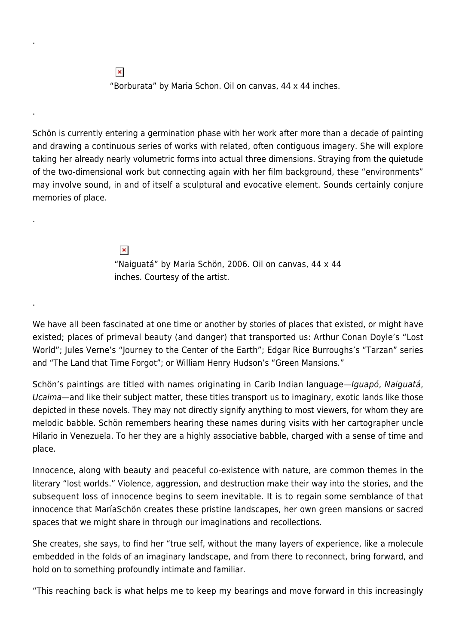$\pmb{\times}$ "Borburata" by Maria Schon. Oil on canvas, 44 x 44 inches.

.

.

.

.

Schön is currently entering a germination phase with her work after more than a decade of painting and drawing a continuous series of works with related, often contiguous imagery. She will explore taking her already nearly volumetric forms into actual three dimensions. Straying from the quietude of the two-dimensional work but connecting again with her film background, these "environments" may involve sound, in and of itself a sculptural and evocative element. Sounds certainly conjure memories of place.

> $\pmb{\times}$ "Naiguatá" by Maria Schön, 2006. Oil on canvas, 44 x 44 inches. Courtesy of the artist.

We have all been fascinated at one time or another by stories of places that existed, or might have existed; places of primeval beauty (and danger) that transported us: Arthur Conan Doyle's "Lost World"; Jules Verne's "Journey to the Center of the Earth"; Edgar Rice Burroughs's "Tarzan" series and "The Land that Time Forgot"; or William Henry Hudson's "Green Mansions."

Schön's paintings are titled with names originating in Carib Indian language—Iguapó, Naiguatá, Ucaima—and like their subject matter, these titles transport us to imaginary, exotic lands like those depicted in these novels. They may not directly signify anything to most viewers, for whom they are melodic babble. Schön remembers hearing these names during visits with her cartographer uncle Hilario in Venezuela. To her they are a highly associative babble, charged with a sense of time and place.

Innocence, along with beauty and peaceful co-existence with nature, are common themes in the literary "lost worlds." Violence, aggression, and destruction make their way into the stories, and the subsequent loss of innocence begins to seem inevitable. It is to regain some semblance of that innocence that MaríaSchön creates these pristine landscapes, her own green mansions or sacred spaces that we might share in through our imaginations and recollections.

She creates, she says, to find her "true self, without the many layers of experience, like a molecule embedded in the folds of an imaginary landscape, and from there to reconnect, bring forward, and hold on to something profoundly intimate and familiar.

"This reaching back is what helps me to keep my bearings and move forward in this increasingly